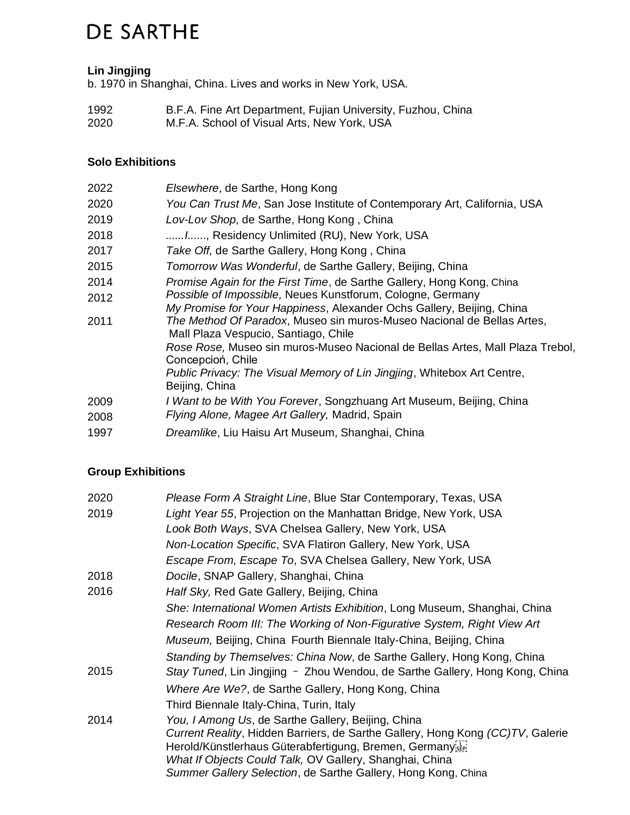# **DE SARTHE**

## **Lin Jingjing**

b. 1970 in Shanghai, China. Lives and works in New York, USA.

| 1992 | B.F.A. Fine Art Department, Fujian University, Fuzhou, China |
|------|--------------------------------------------------------------|
| 2020 | M.F.A. School of Visual Arts, New York, USA                  |

## **Solo Exhibitions**

| 2022 | Elsewhere, de Sarthe, Hong Kong                                                                                                     |
|------|-------------------------------------------------------------------------------------------------------------------------------------|
| 2020 | You Can Trust Me, San Jose Institute of Contemporary Art, California, USA                                                           |
| 2019 | Lov-Lov Shop, de Sarthe, Hong Kong, China                                                                                           |
| 2018 | I, Residency Unlimited (RU), New York, USA                                                                                          |
| 2017 | Take Off, de Sarthe Gallery, Hong Kong, China                                                                                       |
| 2015 | Tomorrow Was Wonderful, de Sarthe Gallery, Beijing, China                                                                           |
| 2014 | Promise Again for the First Time, de Sarthe Gallery, Hong Kong, China                                                               |
| 2012 | Possible of Impossible, Neues Kunstforum, Cologne, Germany<br>My Promise for Your Happiness, Alexander Ochs Gallery, Beijing, China |
| 2011 | The Method Of Paradox, Museo sin muros-Museo Nacional de Bellas Artes,<br>Mall Plaza Vespucio, Santiago, Chile                      |
|      | Rose Rose, Museo sin muros-Museo Nacional de Bellas Artes, Mall Plaza Trebol,<br>Concepcioń, Chile                                  |
|      | Public Privacy: The Visual Memory of Lin Jingjing, Whitebox Art Centre,<br>Beijing, China                                           |
| 2009 | I Want to be With You Forever, Songzhuang Art Museum, Beijing, China                                                                |
| 2008 | Flying Alone, Magee Art Gallery, Madrid, Spain                                                                                      |
| 1997 | Dreamlike, Liu Haisu Art Museum, Shanghai, China                                                                                    |

## **Group Exhibitions**

| 2020 | Please Form A Straight Line, Blue Star Contemporary, Texas, USA                                                                                                                                                                                                                                                              |
|------|------------------------------------------------------------------------------------------------------------------------------------------------------------------------------------------------------------------------------------------------------------------------------------------------------------------------------|
| 2019 | Light Year 55, Projection on the Manhattan Bridge, New York, USA                                                                                                                                                                                                                                                             |
|      | Look Both Ways, SVA Chelsea Gallery, New York, USA                                                                                                                                                                                                                                                                           |
|      | Non-Location Specific, SVA Flatiron Gallery, New York, USA                                                                                                                                                                                                                                                                   |
|      | Escape From, Escape To, SVA Chelsea Gallery, New York, USA                                                                                                                                                                                                                                                                   |
| 2018 | Docile, SNAP Gallery, Shanghai, China                                                                                                                                                                                                                                                                                        |
| 2016 | Half Sky, Red Gate Gallery, Beijing, China                                                                                                                                                                                                                                                                                   |
|      | She: International Women Artists Exhibition, Long Museum, Shanghai, China                                                                                                                                                                                                                                                    |
|      | Research Room III: The Working of Non-Figurative System, Right View Art                                                                                                                                                                                                                                                      |
|      | Museum, Beijing, China Fourth Biennale Italy-China, Beijing, China                                                                                                                                                                                                                                                           |
|      | Standing by Themselves: China Now, de Sarthe Gallery, Hong Kong, China                                                                                                                                                                                                                                                       |
| 2015 | Stay Tuned, Lin Jingjing - Zhou Wendou, de Sarthe Gallery, Hong Kong, China                                                                                                                                                                                                                                                  |
|      | Where Are We?, de Sarthe Gallery, Hong Kong, China                                                                                                                                                                                                                                                                           |
|      | Third Biennale Italy-China, Turin, Italy                                                                                                                                                                                                                                                                                     |
| 2014 | You, I Among Us, de Sarthe Gallery, Beijing, China<br>Current Reality, Hidden Barriers, de Sarthe Gallery, Hong Kong (CC)TV, Galerie<br>Herold/Künstlerhaus Güterabfertigung, Bremen, Germanyser<br>What If Objects Could Talk, OV Gallery, Shanghai, China<br>Summer Gallery Selection, de Sarthe Gallery, Hong Kong, China |
|      |                                                                                                                                                                                                                                                                                                                              |